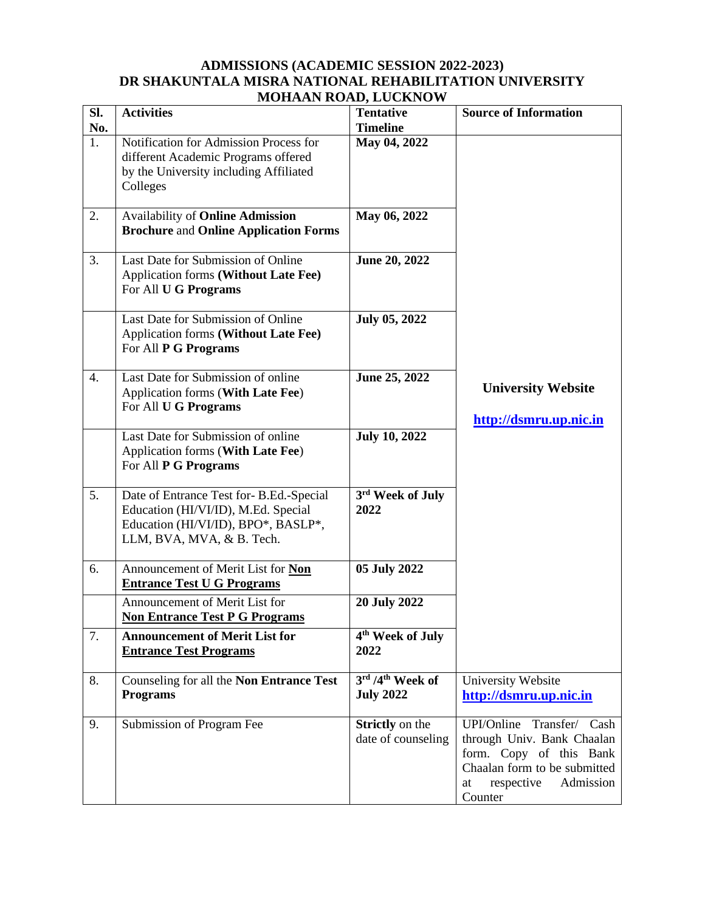## **ADMISSIONS (ACADEMIC SESSION 2022-2023) DR SHAKUNTALA MISRA NATIONAL REHABILITATION UNIVERSITY MOHAAN ROAD, LUCKNOW**

| Sl.              | <b>Activities</b>                                                                                                                                  | лими, коло, всем, о о<br><b>Tentative</b>    | <b>Source of Information</b>                                                                                                                                   |
|------------------|----------------------------------------------------------------------------------------------------------------------------------------------------|----------------------------------------------|----------------------------------------------------------------------------------------------------------------------------------------------------------------|
| No.              |                                                                                                                                                    | <b>Timeline</b>                              |                                                                                                                                                                |
| 1.               | Notification for Admission Process for<br>different Academic Programs offered<br>by the University including Affiliated<br>Colleges                | May 04, 2022                                 |                                                                                                                                                                |
| 2.               | <b>Availability of Online Admission</b><br><b>Brochure and Online Application Forms</b>                                                            | May 06, 2022                                 |                                                                                                                                                                |
| 3.               | Last Date for Submission of Online<br>Application forms (Without Late Fee)<br>For All U G Programs                                                 | June 20, 2022                                |                                                                                                                                                                |
|                  | Last Date for Submission of Online<br><b>Application forms (Without Late Fee)</b><br>For All P G Programs                                          | <b>July 05, 2022</b>                         |                                                                                                                                                                |
| $\overline{4}$ . | Last Date for Submission of online<br>Application forms (With Late Fee)<br>For All U G Programs                                                    | June 25, 2022                                | <b>University Website</b><br>http://dsmru.up.nic.in                                                                                                            |
|                  | Last Date for Submission of online<br>Application forms (With Late Fee)<br>For All P G Programs                                                    | <b>July 10, 2022</b>                         |                                                                                                                                                                |
| 5.               | Date of Entrance Test for-B.Ed.-Special<br>Education (HI/VI/ID), M.Ed. Special<br>Education (HI/VI/ID), BPO*, BASLP*,<br>LLM, BVA, MVA, & B. Tech. | 3rd Week of July<br>2022                     |                                                                                                                                                                |
| 6.               | Announcement of Merit List for Non<br><b>Entrance Test U G Programs</b>                                                                            | 05 July 2022                                 |                                                                                                                                                                |
|                  | Announcement of Merit List for<br><b>Non Entrance Test P G Programs</b>                                                                            | <b>20 July 2022</b>                          |                                                                                                                                                                |
| 7.               | <b>Announcement of Merit List for</b><br><b>Entrance Test Programs</b>                                                                             | 4 <sup>th</sup> Week of July<br>2022         |                                                                                                                                                                |
| 8.               | Counseling for all the Non Entrance Test<br><b>Programs</b>                                                                                        | 3rd /4th Week of<br><b>July 2022</b>         | University Website<br>http://dsmru.up.nic.in                                                                                                                   |
| 9.               | Submission of Program Fee                                                                                                                          | <b>Strictly</b> on the<br>date of counseling | UPI/Online Transfer/ Cash<br>through Univ. Bank Chaalan<br>form. Copy of this Bank<br>Chaalan form to be submitted<br>respective<br>Admission<br>at<br>Counter |